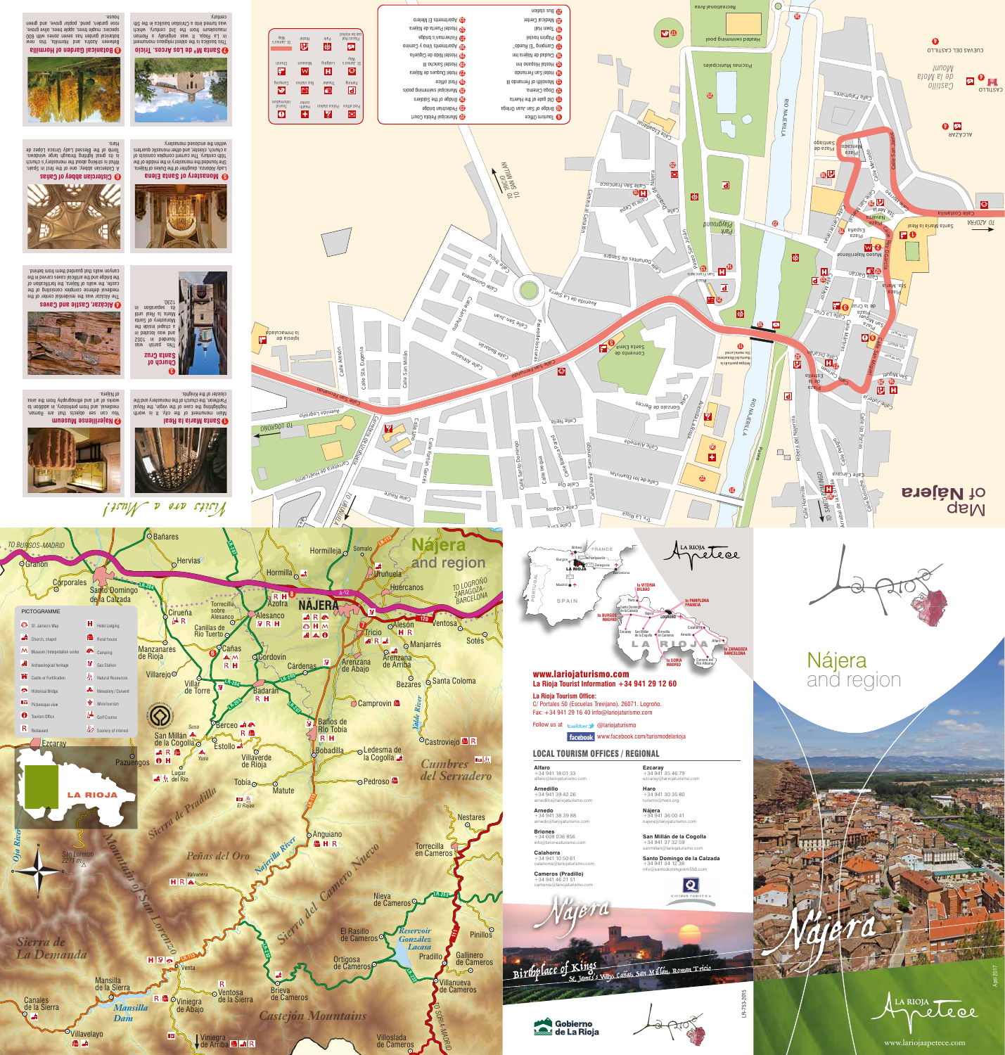